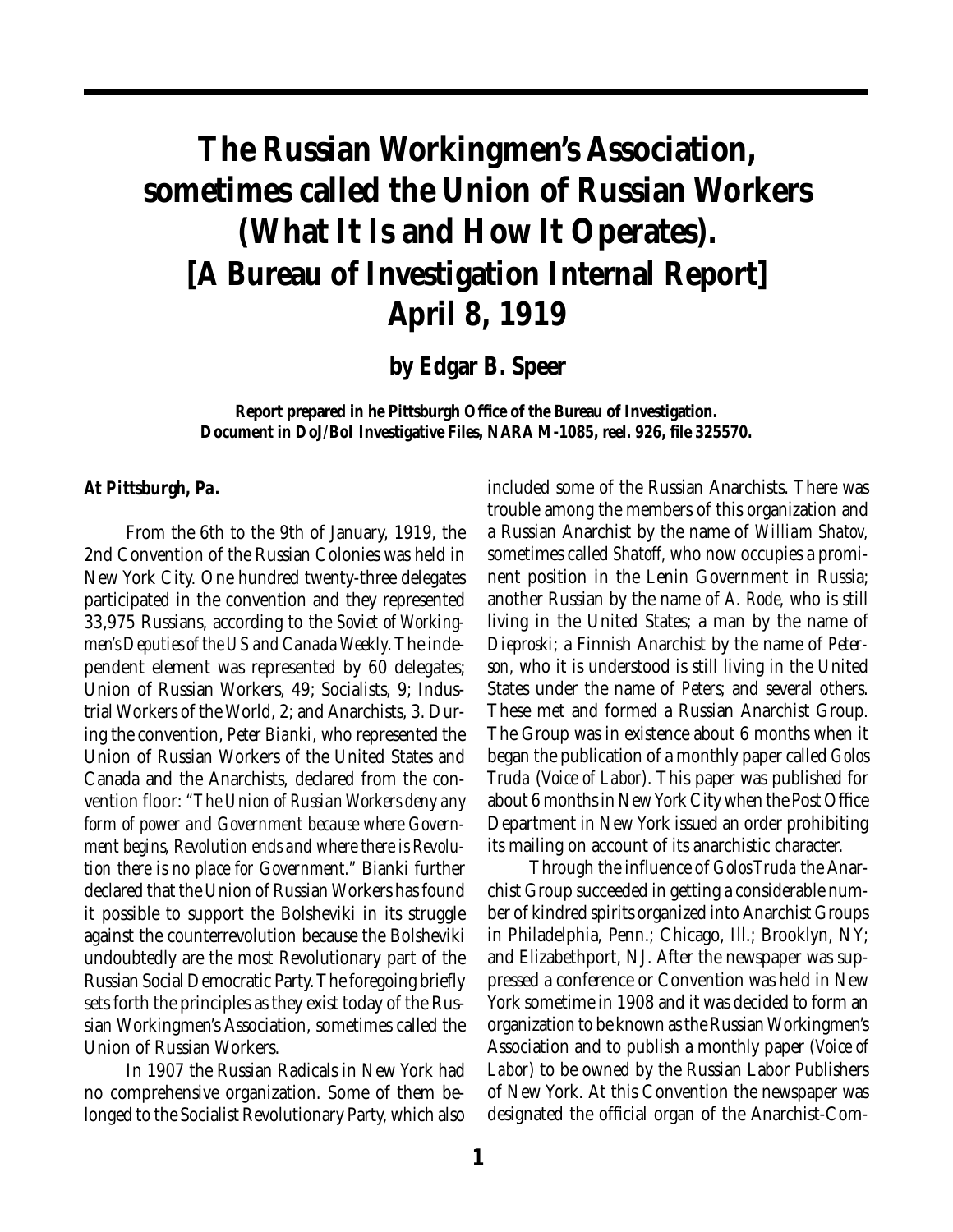# **The Russian Workingmen's Association, sometimes called the Union of Russian Workers (What It Is and How It Operates). [A Bureau of Investigation Internal Report] April 8, 1919**

**by Edgar B. Speer**

**Report prepared in he Pittsburgh Office of the Bureau of Investigation. Document in DoJ/BoI Investigative Files, NARA M-1085, reel. 926, file 325570.**

## *At Pittsburgh, Pa.*

From the 6th to the 9th of January, 1919, the 2nd Convention of the Russian Colonies was held in New York City. One hundred twenty-three delegates participated in the convention and they represented 33,975 Russians, according to the *Soviet of Workingmen's Deputies of the US and Canada Weekly*. The independent element was represented by 60 delegates; Union of Russian Workers, 49; Socialists, 9; Industrial Workers of the World, 2; and Anarchists, 3. During the convention, *Peter Bianki,* who represented the Union of Russian Workers of the United States and Canada and the Anarchists, declared from the convention floor: *"The Union of Russian Workers deny any form of power and Government because where Government begins, Revolution ends and where there is Revolution there is no place for Government."* Bianki further declared that the Union of Russian Workers has found it possible to support the Bolsheviki in its struggle against the counterrevolution because the Bolsheviki undoubtedly are the most Revolutionary part of the Russian Social Democratic Party. The foregoing briefly sets forth the principles as they exist today of the Russian Workingmen's Association, sometimes called the Union of Russian Workers.

In 1907 the Russian Radicals in New York had no comprehensive organization. Some of them belonged to the Socialist Revolutionary Party, which also included some of the Russian Anarchists. There was trouble among the members of this organization and a Russian Anarchist by the name of *William Shatov,* sometimes called *Shatoff,* who now occupies a prominent position in the Lenin Government in Russia; another Russian by the name of *A. Rode,* who is still living in the United States; a man by the name of *Dieproski;* a Finnish Anarchist by the name of *Peterson,* who it is understood is still living in the United States under the name of *Peters;* and several others. These met and formed a Russian Anarchist Group. The Group was in existence about 6 months when it began the publication of a monthly paper called *Golos Truda* (*Voice of Labor*). This paper was published for about 6 months in New York City when the Post Office Department in New York issued an order prohibiting its mailing on account of its anarchistic character.

Through the influence of *Golos Truda* the Anarchist Group succeeded in getting a considerable number of kindred spirits organized into Anarchist Groups in Philadelphia, Penn.; Chicago, Ill.; Brooklyn, NY; and Elizabethport, NJ. After the newspaper was suppressed a conference or Convention was held in New York sometime in 1908 and it was decided to form an organization to be known as the Russian Workingmen's Association and to publish a monthly paper (*Voice of Labor*) to be owned by the Russian Labor Publishers of New York. At this Convention the newspaper was designated the official organ of the Anarchist-Com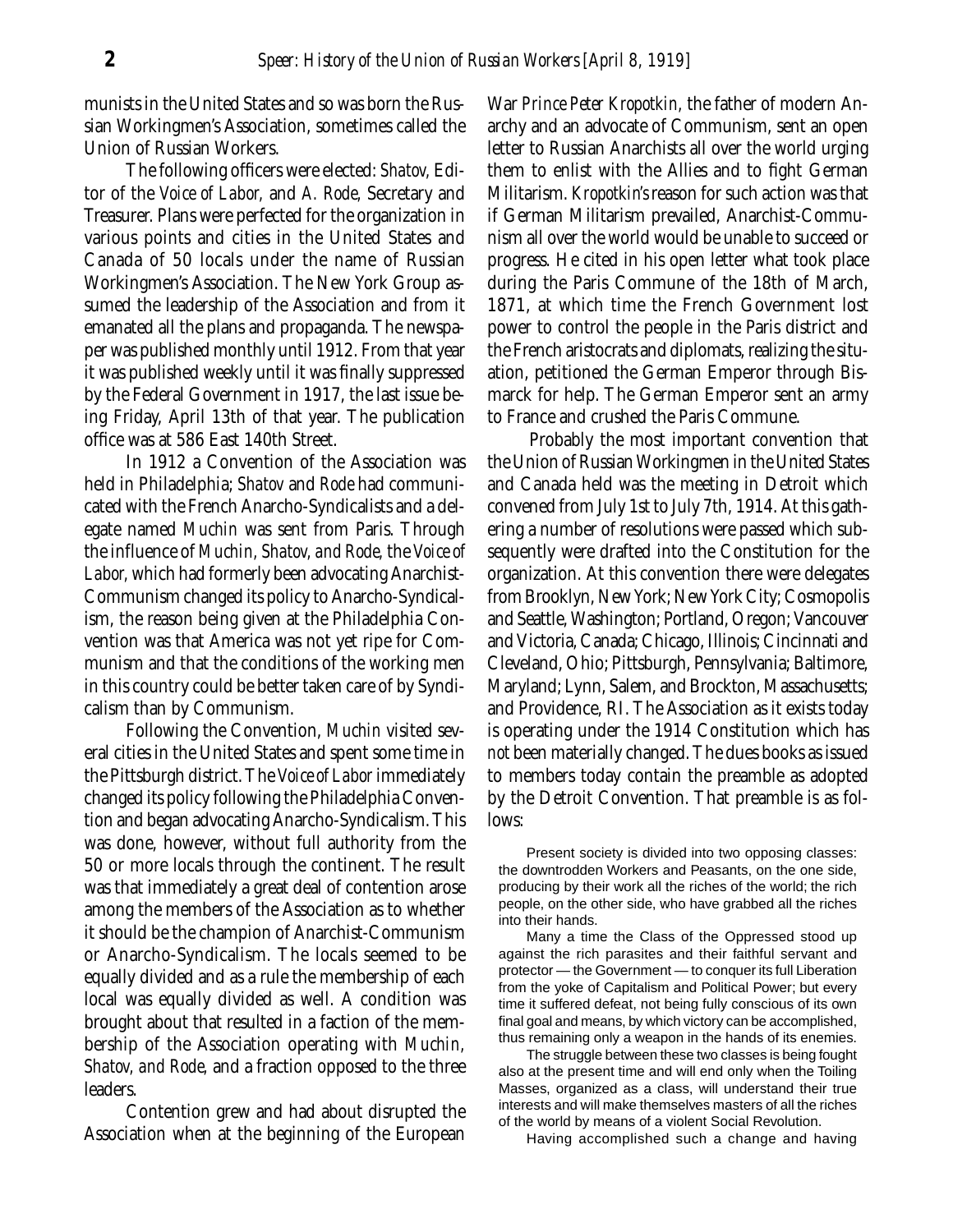munists in the United States and so was born the Russian Workingmen's Association, sometimes called the Union of Russian Workers.

The following officers were elected: *Shatov,* Editor of the *Voice of Labor,* and *A. Rode,* Secretary and Treasurer. Plans were perfected for the organization in various points and cities in the United States and Canada of 50 locals under the name of Russian Workingmen's Association. The New York Group assumed the leadership of the Association and from it emanated all the plans and propaganda. The newspaper was published monthly until 1912. From that year it was published weekly until it was finally suppressed by the Federal Government in 1917, the last issue being Friday, April 13th of that year. The publication office was at 586 East 140th Street.

In 1912 a Convention of the Association was held in Philadelphia; *Shatov* and *Rode* had communicated with the French Anarcho-Syndicalists and a delegate named *Muchin* was sent from Paris. Through the influence of *Muchin, Shatov, and Rode,* the *Voice of Labor,* which had formerly been advocating Anarchist-Communism changed its policy to Anarcho-Syndicalism, the reason being given at the Philadelphia Convention was that America was not yet ripe for Communism and that the conditions of the working men in this country could be better taken care of by Syndicalism than by Communism.

Following the Convention, *Muchin* visited several cities in the United States and spent some time in the Pittsburgh district. The *Voice of Labor* immediately changed its policy following the Philadelphia Convention and began advocating Anarcho-Syndicalism. This was done, however, without full authority from the 50 or more locals through the continent. The result was that immediately a great deal of contention arose among the members of the Association as to whether it should be the champion of Anarchist-Communism or Anarcho-Syndicalism. The locals seemed to be equally divided and as a rule the membership of each local was equally divided as well. A condition was brought about that resulted in a faction of the membership of the Association operating with *Muchin, Shatov, and Rode,* and a fraction opposed to the three leaders.

Contention grew and had about disrupted the Association when at the beginning of the European War *Prince Peter Kropotkin,* the father of modern Anarchy and an advocate of Communism, sent an open letter to Russian Anarchists all over the world urging them to enlist with the Allies and to fight German Militarism. *Kropotkin's* reason for such action was that if German Militarism prevailed, Anarchist-Communism all over the world would be unable to succeed or progress. He cited in his open letter what took place during the Paris Commune of the 18th of March, 1871, at which time the French Government lost power to control the people in the Paris district and the French aristocrats and diplomats, realizing the situation, petitioned the German Emperor through Bismarck for help. The German Emperor sent an army to France and crushed the Paris Commune.

Probably the most important convention that the Union of Russian Workingmen in the United States and Canada held was the meeting in Detroit which convened from July 1st to July 7th, 1914. At this gathering a number of resolutions were passed which subsequently were drafted into the Constitution for the organization. At this convention there were delegates from Brooklyn, New York; New York City; Cosmopolis and Seattle, Washington; Portland, Oregon; Vancouver and Victoria, Canada; Chicago, Illinois; Cincinnati and Cleveland, Ohio; Pittsburgh, Pennsylvania; Baltimore, Maryland; Lynn, Salem, and Brockton, Massachusetts; and Providence, RI. The Association as it exists today is operating under the 1914 Constitution which has *not* been materially changed. The dues books as issued to members today contain the preamble as adopted by the Detroit Convention. That preamble is as follows:

Present society is divided into two opposing classes: the downtrodden Workers and Peasants, on the one side, producing by their work all the riches of the world; the rich people, on the other side, who have grabbed all the riches into their hands.

Many a time the Class of the Oppressed stood up against the rich parasites and their faithful servant and protector — the Government — to conquer its full Liberation from the yoke of Capitalism and Political Power; but every time it suffered defeat, not being fully conscious of its own final goal and means, by which victory can be accomplished, thus remaining only a weapon in the hands of its enemies.

The struggle between these two classes is being fought also at the present time and will end only when the Toiling Masses, organized as a class, will understand their true interests and will make themselves masters of all the riches of the world by means of a violent Social Revolution.

Having accomplished such a change and having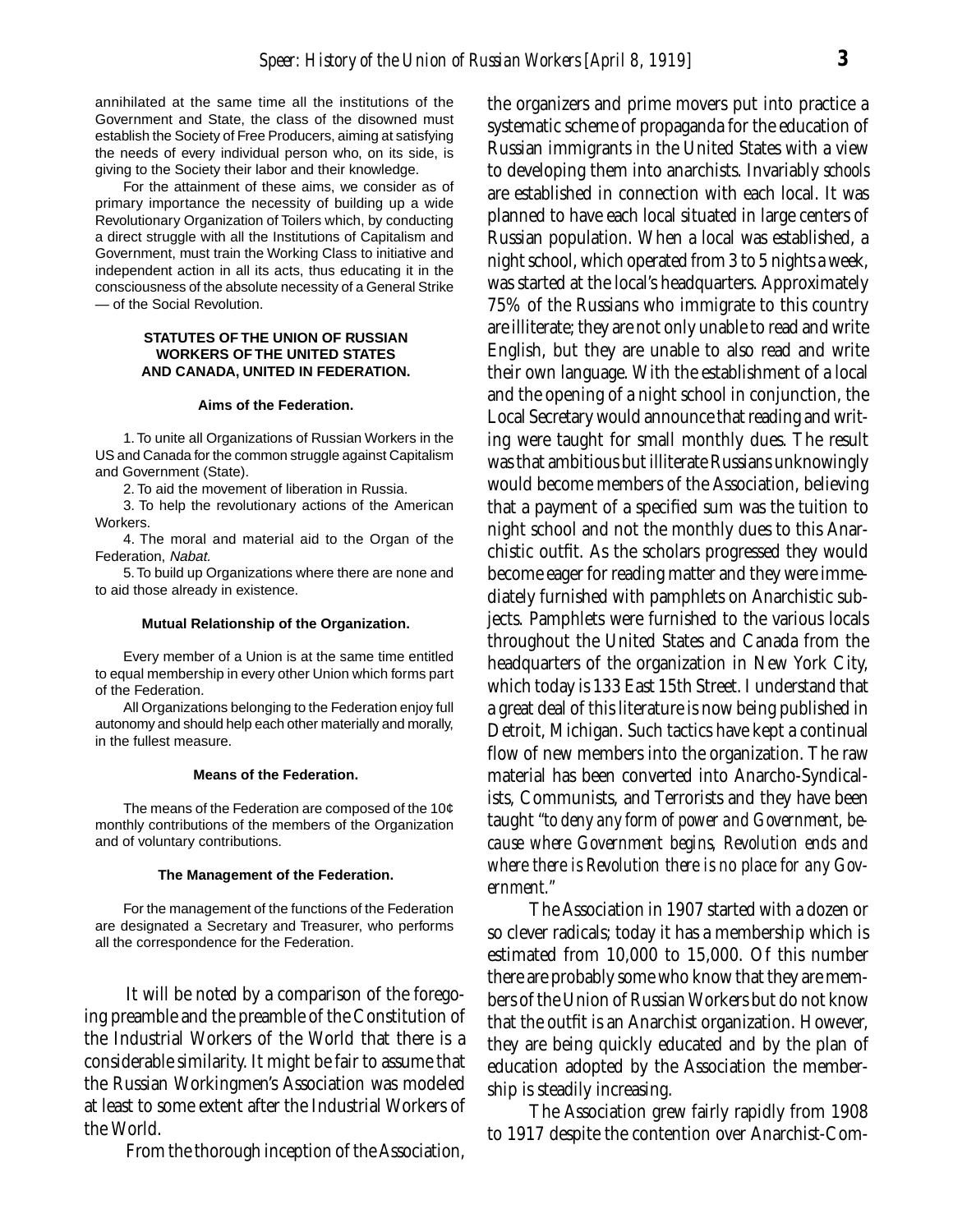annihilated at the same time all the institutions of the Government and State, the class of the disowned must establish the Society of Free Producers, aiming at satisfying the needs of every individual person who, on its side, is giving to the Society their labor and their knowledge.

For the attainment of these aims, we consider as of primary importance the necessity of building up a wide Revolutionary Organization of Toilers which, by conducting a direct struggle with all the Institutions of Capitalism and Government, must train the Working Class to initiative and independent action in all its acts, thus educating it in the consciousness of the absolute necessity of a General Strike — of the Social Revolution.

### **STATUTES OF THE UNION OF RUSSIAN WORKERS OF THE UNITED STATES AND CANADA, UNITED IN FEDERATION.**

#### **Aims of the Federation.**

1. To unite all Organizations of Russian Workers in the US and Canada for the common struggle against Capitalism and Government (State).

2. To aid the movement of liberation in Russia.

3. To help the revolutionary actions of the American Workers.

4. The moral and material aid to the Organ of the Federation, Nabat.

5. To build up Organizations where there are none and to aid those already in existence.

#### **Mutual Relationship of the Organization.**

Every member of a Union is at the same time entitled to equal membership in every other Union which forms part of the Federation.

All Organizations belonging to the Federation enjoy full autonomy and should help each other materially and morally, in the fullest measure.

#### **Means of the Federation.**

The means of the Federation are composed of the 10¢ monthly contributions of the members of the Organization and of voluntary contributions.

#### **The Management of the Federation.**

For the management of the functions of the Federation are designated a Secretary and Treasurer, who performs all the correspondence for the Federation.

It will be noted by a comparison of the foregoing preamble and the preamble of the Constitution of the Industrial Workers of the World that there is a considerable similarity. It might be fair to assume that the Russian Workingmen's Association was modeled at least to some extent after the Industrial Workers of the World.

From the thorough inception of the Association,

the organizers and prime movers put into practice a systematic scheme of propaganda for the education of Russian immigrants in the United States with a view to developing them into anarchists. Invariably *schools* are established in connection with each local. It was planned to have each local situated in large centers of Russian population. When a local was established, a night school, which operated from 3 to 5 nights a week, was started at the local's headquarters. Approximately 75% of the Russians who immigrate to this country are illiterate; they are not only unable to read and write English, but they are unable to also read and write their own language. With the establishment of a local and the opening of a night school in conjunction, the Local Secretary would announce that reading and writing were taught for small monthly dues. The result was that ambitious but illiterate Russians unknowingly would become members of the Association, believing that a payment of a specified sum was the tuition to night school and not the monthly dues to this Anarchistic outfit. As the scholars progressed they would become eager for reading matter and they were immediately furnished with pamphlets on Anarchistic subjects. Pamphlets were furnished to the various locals throughout the United States and Canada from the headquarters of the organization in New York City, which today is 133 East 15th Street. I understand that a great deal of this literature is now being published in Detroit, Michigan. Such tactics have kept a continual flow of new members into the organization. The raw material has been converted into Anarcho-Syndicalists, Communists, and Terrorists and they have been taught *"to deny any form of power and Government, because where Government begins, Revolution ends and where there is Revolution there is no place for any Government."*

The Association in 1907 started with a dozen or so clever radicals; today it has a membership which is estimated from 10,000 to 15,000. Of this number there are probably some who know that they are members of the Union of Russian Workers but do not know that the outfit is an Anarchist organization. However, they are being quickly educated and by the plan of education adopted by the Association the membership is steadily increasing.

The Association grew fairly rapidly from 1908 to 1917 despite the contention over Anarchist-Com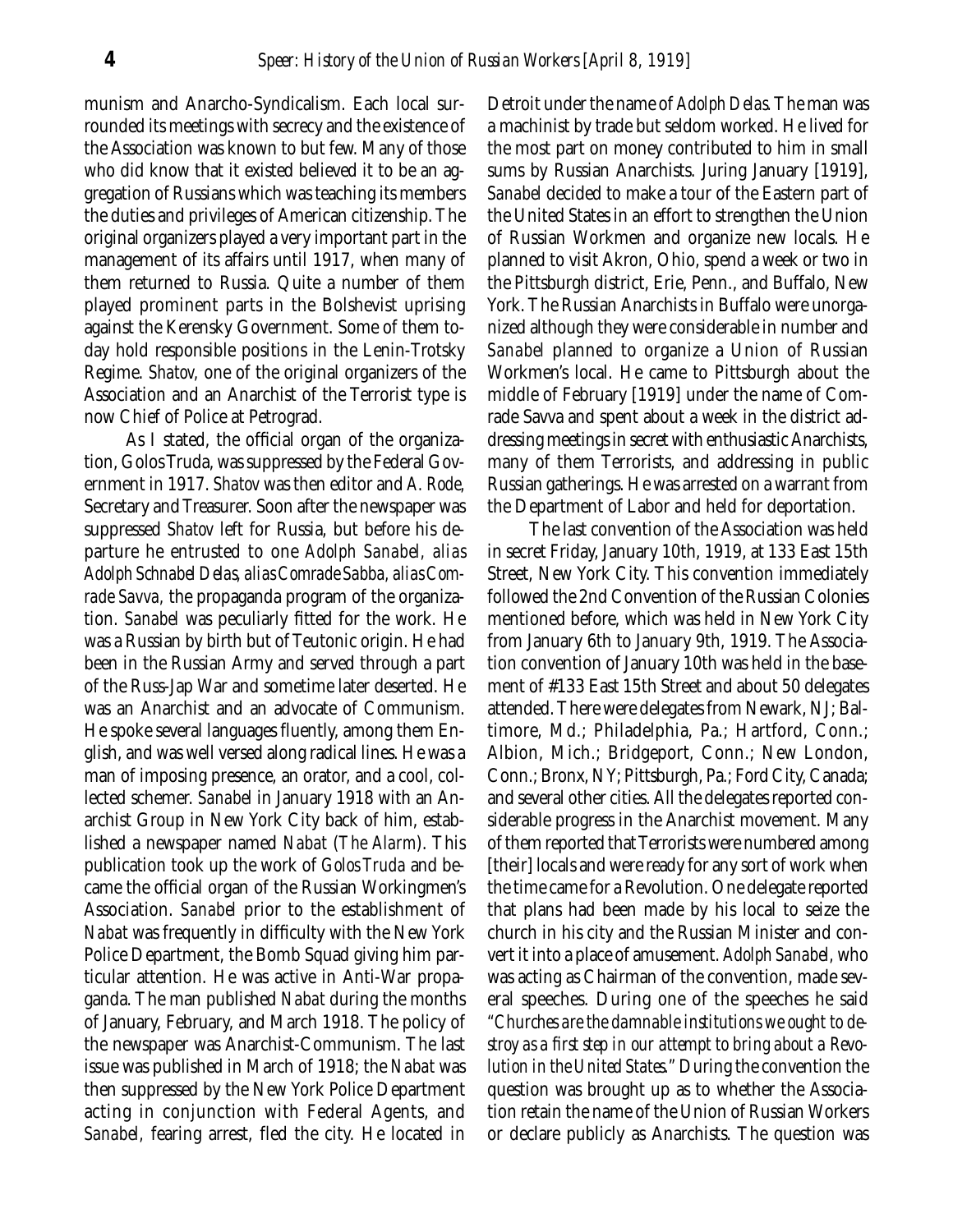munism and Anarcho-Syndicalism. Each local surrounded its meetings with secrecy and the existence of the Association was known to but few. Many of those who did know that it existed believed it to be an aggregation of Russians which was teaching its members the duties and privileges of American citizenship. The original organizers played a very important part in the management of its affairs until 1917, when many of them returned to Russia. Quite a number of them played prominent parts in the Bolshevist uprising against the Kerensky Government. Some of them today hold responsible positions in the Lenin-Trotsky Regime. *Shatov,* one of the original organizers of the Association and an Anarchist of the Terrorist type is now Chief of Police at Petrograd.

As I stated, the official organ of the organization, Golos Truda, was suppressed by the Federal Government in 1917. *Shatov* was then editor and *A. Rode,* Secretary and Treasurer. Soon after the newspaper was suppressed *Shatov* left for Russia, but before his departure he entrusted to one *Adolph Sanabel, alias Adolph Schnabel Delas, alias Comrade Sabba, alias Comrade Savva,* the propaganda program of the organization. *Sanabel* was peculiarly fitted for the work. He was a Russian by birth but of Teutonic origin. He had been in the Russian Army and served through a part of the Russ-Jap War and sometime later deserted. He was an Anarchist and an advocate of Communism. He spoke several languages fluently, among them English, and was well versed along radical lines. He was a man of imposing presence, an orator, and a cool, collected schemer. *Sanabel* in January 1918 with an Anarchist Group in New York City back of him, established a newspaper named *Nabat* (*The Alarm*). This publication took up the work of *Golos Truda* and became the official organ of the Russian Workingmen's Association. *Sanabel* prior to the establishment of *Nabat* was frequently in difficulty with the New York Police Department, the Bomb Squad giving him particular attention. He was active in Anti-War propaganda. The man published *Nabat* during the months of January, February, and March 1918. The policy of the newspaper was Anarchist-Communism. The last issue was published in March of 1918; the *Nabat* was then suppressed by the New York Police Department acting in conjunction with Federal Agents, and *Sanabel,* fearing arrest, fled the city. He located in

Detroit under the name of *Adolph Delas.* The man was a machinist by trade but seldom worked. He lived for the most part on money contributed to him in small sums by Russian Anarchists. Juring January [1919], *Sanabel* decided to make a tour of the Eastern part of the United States in an effort to strengthen the Union of Russian Workmen and organize new locals. He planned to visit Akron, Ohio, spend a week or two in the Pittsburgh district, Erie, Penn., and Buffalo, New York. The Russian Anarchists in Buffalo were unorganized although they were considerable in number and *Sanabel* planned to organize a Union of Russian Workmen's local. He came to Pittsburgh about the middle of February [1919] under the name of Comrade Savva and spent about a week in the district addressing meetings in secret with enthusiastic Anarchists, many of them Terrorists, and addressing in public Russian gatherings. He was arrested on a warrant from the Department of Labor and held for deportation.

The last convention of the Association was held in secret Friday, January 10th, 1919, at 133 East 15th Street, New York City. This convention immediately followed the 2nd Convention of the Russian Colonies mentioned before, which was held in New York City from January 6th to January 9th, 1919. The Association convention of January 10th was held in the basement of #133 East 15th Street and about 50 delegates attended. There were delegates from Newark, NJ; Baltimore, Md.; Philadelphia, Pa.; Hartford, Conn.; Albion, Mich.; Bridgeport, Conn.; New London, Conn.; Bronx, NY; Pittsburgh, Pa.; Ford City, Canada; and several other cities. All the delegates reported considerable progress in the Anarchist movement. Many of them reported that Terrorists were numbered among [their] locals and were ready for any sort of work when the time came for a Revolution. One delegate reported that plans had been made by his local to seize the church in his city and the Russian Minister and convert it into a place of amusement. *Adolph Sanabel,* who was acting as Chairman of the convention, made several speeches. During one of the speeches he said *"Churches are the damnable institutions we ought to destroy as a first step in our attempt to bring about a Revolution in the United States."* During the convention the question was brought up as to whether the Association retain the name of the Union of Russian Workers or declare publicly as Anarchists. The question was